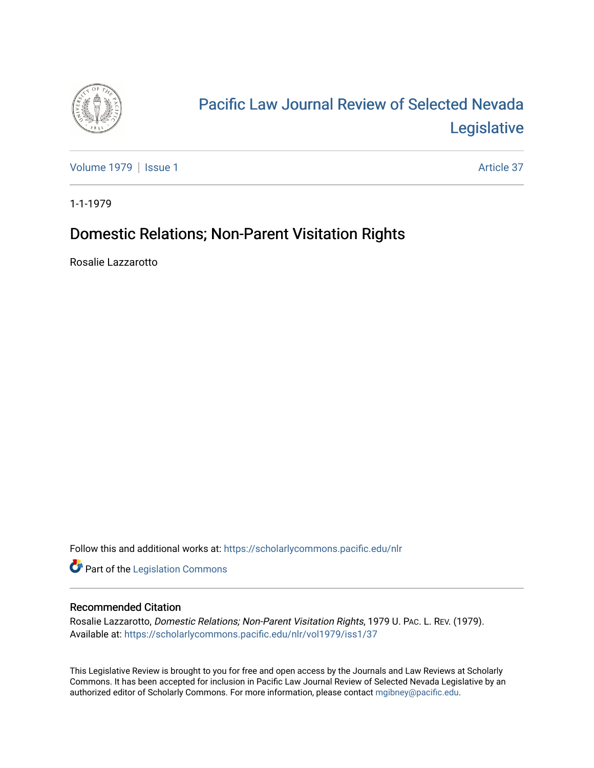

# [Pacific Law Journal Review of Selected Nevada](https://scholarlycommons.pacific.edu/nlr)  [Legislative](https://scholarlycommons.pacific.edu/nlr)

[Volume 1979](https://scholarlycommons.pacific.edu/nlr/vol1979) | [Issue 1](https://scholarlycommons.pacific.edu/nlr/vol1979/iss1) Article 37

1-1-1979

# Domestic Relations; Non-Parent Visitation Rights

Rosalie Lazzarotto

Follow this and additional works at: [https://scholarlycommons.pacific.edu/nlr](https://scholarlycommons.pacific.edu/nlr?utm_source=scholarlycommons.pacific.edu%2Fnlr%2Fvol1979%2Fiss1%2F37&utm_medium=PDF&utm_campaign=PDFCoverPages) 

**Part of the [Legislation Commons](http://network.bepress.com/hgg/discipline/859?utm_source=scholarlycommons.pacific.edu%2Fnlr%2Fvol1979%2Fiss1%2F37&utm_medium=PDF&utm_campaign=PDFCoverPages)** 

## Recommended Citation

Rosalie Lazzarotto, Domestic Relations; Non-Parent Visitation Rights, 1979 U. PAC. L. REV. (1979). Available at: [https://scholarlycommons.pacific.edu/nlr/vol1979/iss1/37](https://scholarlycommons.pacific.edu/nlr/vol1979/iss1/37?utm_source=scholarlycommons.pacific.edu%2Fnlr%2Fvol1979%2Fiss1%2F37&utm_medium=PDF&utm_campaign=PDFCoverPages)

This Legislative Review is brought to you for free and open access by the Journals and Law Reviews at Scholarly Commons. It has been accepted for inclusion in Pacific Law Journal Review of Selected Nevada Legislative by an authorized editor of Scholarly Commons. For more information, please contact [mgibney@pacific.edu](mailto:mgibney@pacific.edu).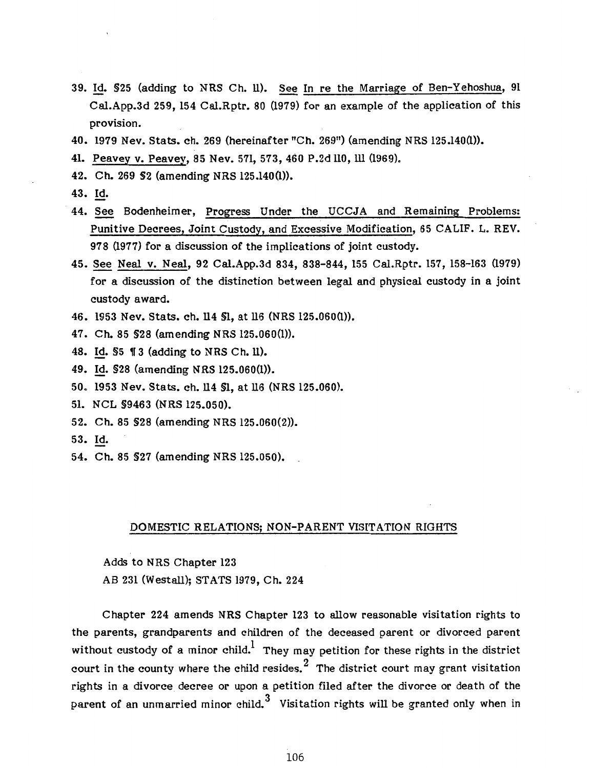- 39. Id. §25 (adding to NRS Ch. ll). See In re the Marriage of Ben-Yehoshua, 91 Cal.App.3d 259, 154 Cal.Rptr. 80 (1979) for an example of the application of this provision.
- 40. 1979 Nev. Stats. ch. 269 (hereinafter "Ch. 269") (amending NRS 125.140(1)).
- 41. Peavey v. Peavey, 85 Nev. 571, 573, 460 P.2d 110, ill (1969).
- 42. Ch. 269 §2 (amending NRS 125.140(1)).
- 43. Id.
- 44. See Bodenheimer, Progress Under the UCCJA and Remaining Problems: Punitive Decrees, Joint Custody, and Excessive Modification, 65 CALIF. L. REV. 978 (1977) for a discussion of the implications of joint custody.
- 45. See Neal v. Neal, 92 Cal.App.3d 834, 838-844, 155 Cal.Rptr. 157, 158-163 (1979) for a discussion of the distinction between legal and physical custody in a joint custody award.
- 46. 1953 Nev. Stats. ch. 114 §1, at ll6 (NRS 125.060(1)).
- 47. Ch. 85 §28 (amending NRS 125.060(1)).
- 48. Id. \$5 13 (adding to NRS Ch. ll).
- 49. Id. §28 (amending NRS 125.060(1)).
- 50. 1953 Nev. Stats. ch. ll4 §1, at ll6 (NRS 125.060).
- 51. NCL §9463 (NRS 125.050).
- 52. Ch. 85 §28 (amending NRS 125.060(2)).
- 53. Id.
- 54. Ch. 85 §27 (amending NRS 125.050).

#### DOMESTIC RELATIONS; NON-PARENT VISITATION RIGHTS

Adds to NRS Chapter 123 AB 231 (Westall); STATS 1979, Ch. 224

Chapter 224 amends NRS Chapter 123 to allow reasonable visitation rights to the parents, grandparents and children of the deceased parent or divorced parent without custody of a minor child.<sup>1</sup> They may petition for these rights in the district court in the county where the child resides. <sup>2</sup> The district court may grant visitation rights in a divorce decree or upon a petition filed after the divorce or death of the parent of an unmarried minor child.<sup>3</sup> Visitation rights will be granted only when in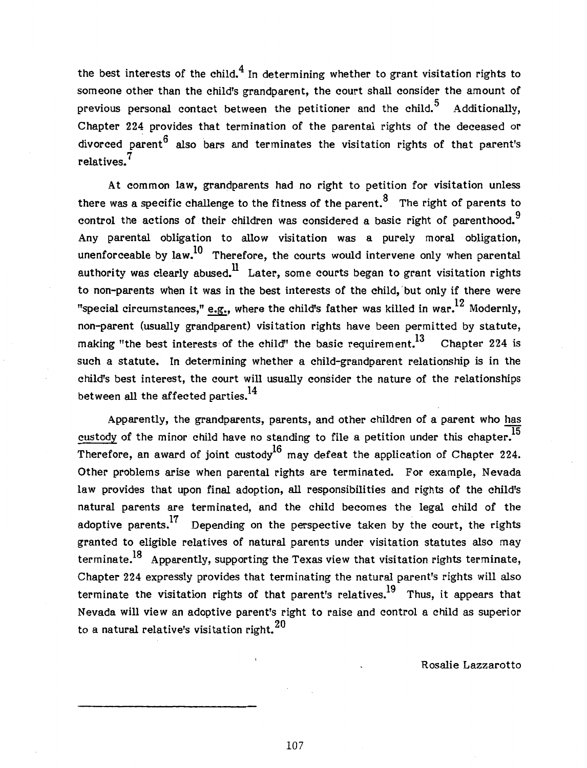the best interests of the child.<sup>4</sup> In determining whether to grant visitation rights to someone other than the child's grandparent, the court shall consider the amount of previous personal contact between the petitioner and the child.<sup>5</sup> Additionally, Chapter 224 provides that termination of the parental rights of the deceased or divorced parent  $6$  also bars and terminates the visitation rights of that parent's relatives. 7

At common law, grandparents had no right to petition for visitation unless there was a specific challenge to the fitness of the parent.<sup>8</sup> The right of parents to control the actions of their children was considered a basic right of parenthood.<sup>9</sup> Any parental obligation to allow visitation was a purely moral obligation, unenforceable by law.<sup>10</sup> Therefore, the courts would intervene only when parental authority was clearly abused.<sup>11</sup> Later, some courts began to grant visitation rights to non-parents when it was in the best interests of the child,'but only if there were "special circumstances," e.g., where the child's father was killed in war.  $^{12}$  Modernly, non-parent (usually grandparent) visitation rights have been permitted by statute, making "the best interests of the child" the basic requirement.<sup>13</sup> Chapter 224 is such a statute. In determining whether a child-grandparent relationship is in the child's best interest, the court will usually consider the nature of the relationships between all the affected parties. $^{14}$ 

Apparently, the grandparents, parents, and other children of a parent who has custody of the minor child have no standing to file a petition under this chapter.<sup>15</sup> Therefore, an award of joint custody<sup>16</sup> may defeat the application of Chapter 224. Other problems arise when parental rights are terminated. For example, Nevada law provides that upon final adoption, all responsibilities and rights of the child's natural parents are terminated, and the child becomes the legal child of the adoptive parents.<sup>17</sup> Depending on the perspective taken by the court, the rights granted to eligible relatives of natural parents under visitation statutes also may terminate.<sup>18</sup> Apparently, supporting the Texas view that visitation rights terminate, Chapter 224 expressly provides that terminating the natural parent's rights will also terminate the visitation rights of that parent's relatives.<sup>19</sup> Thus, it appears that Nevada will view an adoptive parent's right to raise and control a child as superior to a natural relative's visitation right.  $20$ 

Rosalie Lazzarotto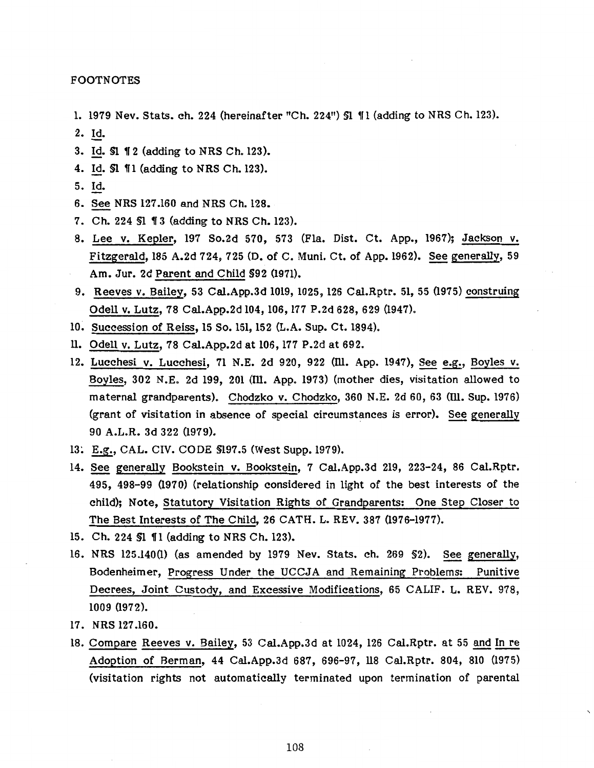FOOTNOTES

- 1. 1979 Nev. Stats. ch. 224 (hereinafter "Ch. 224") §1 ¶1 (adding to NRS Ch. 123).
- 2. Id.
- 3. Id. \$1 12 (adding to NRS Ch. 123).
- 4. Id. \$1  $\P$ 1 (adding to NRS Ch. 123).
- 5. Id.
- 6. See NRS 127.160 and NRS Ch. 128.
- 7. Ch. 224 SI 13 (adding to NRS Ch. 123).
- 8. Lee v. Kepler, 197 So.2d 570, 573 (Fla. Dist. Ct. App., 1967); Jackson v. Fitzgerald, 185 A.2d 724, 725 (D. of C. Muni. Ct. of App. 1962). See generally, 59 Am. Jur. 2d Parent and Child §92 (1971).
- 9. Reeves v. Bailey, 53 Cal.App.3d 1019, 1025, 126 Cal.Rptr. 51, 55 (1975) construing Odell v. Lutz, 78 Cal.App.2d 104, 106, 177 P.2d 628, 629 (1947).
- 10. Succession of Reiss, 15 So. 151, 152 (L.A. Sup. Ct. 1894).
- ll. Odell v. Lutz, 78 Cal.App.2d at 106, 177 P.2d at 692.
- 12. Lucchesi v. Lucchesi, 71 N.E. 2d 920, 922 (Ill. App. 1947), See e.g., Boyles v. Boyles, 302 N.E. 2d 199, 201 (Ill. App. 1973) (mother dies, visitation allowed to maternal grandparents). Chodzko v. Chodzko, 360 N.E. 2d 60, 63 (Ill. Sup. 1976) (grant of visitation in absence of special circumstances is error). See generally 90 A.L.R. 3d 322 (1979).
- 13~ E.g., CAL. CIV. CODE §197.5 (West Supp.l979).
- 14. See generally Bookstein v. Bookstein, 7 Cal.App.3d 219, 223-24, 86 Cal.Rptr. 495, 498-99 (1970) (relationship considered in light of the best interests of the child); Note, Statutory Visitation Rights of Grandparents: One Step Closer to The Best Interests of The Child, 26 CATH. L. REV. 387 (1976-1977).
- 15. Ch. 224 S1 11 (adding to NRS Ch. 123).
- 16. NRS 125.140(1) (as amended by 1979 Nev. Stats. ch. 269 §2). See generally, Bodenheimer, Progress Under the UCCJA and Remaining Problems: Punitive Decrees, Joint Custody, and Excessive Modifications, 65 CALIF. L. REV. 978, 1009 (1972).
- 17. NRS 127.160.
- 18. Compare Reeves v. Bailey, 53 Cal.App.3d at 1024, 126 Cal.Rptr. at 55 and In re Adoption of Berman, 44 Cal.App.3d 687, 696-97, 118 Cal.Rptr. 804, 810 (1975) (visitation rights not automatically terminated upon termination of parental